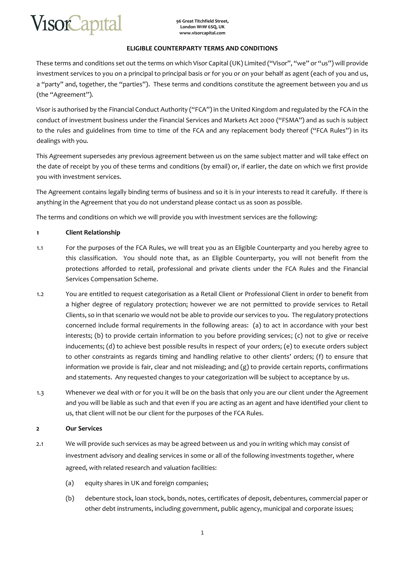

### **ELIGIBLE COUNTERPARTY TERMS AND CONDITIONS**

These terms and conditions set out the terms on which Visor Capital (UK) Limited ("Visor", "we" or "us") will provide investment services to you on a principal to principal basis or for you or on your behalf as agent (each of you and us, a "party" and, together, the "parties"). These terms and conditions constitute the agreement between you and us (the "Agreement").

Visor is authorised by the Financial Conduct Authority ("FCA") in the United Kingdom and regulated by the FCA in the conduct of investment business under the Financial Services and Markets Act 2000 ("FSMA") and as such is subject to the rules and guidelines from time to time of the FCA and any replacement body thereof ("FCA Rules") in its dealings with you.

This Agreement supersedes any previous agreement between us on the same subject matter and will take effect on the date of receipt by you of these terms and conditions (by email) or, if earlier, the date on which we first provide you with investment services.

The Agreement contains legally binding terms of business and so it is in your interests to read it carefully. If there is anything in the Agreement that you do not understand please contact us as soon as possible.

The terms and conditions on which we will provide you with investment services are the following:

# **1 Client Relationship**

- 1.1 For the purposes of the FCA Rules, we will treat you as an Eligible Counterparty and you hereby agree to this classification. You should note that, as an Eligible Counterparty, you will not benefit from the protections afforded to retail, professional and private clients under the FCA Rules and the Financial Services Compensation Scheme.
- 1.2 You are entitled to request categorisation as a Retail Client or Professional Client in order to benefit from a higher degree of regulatory protection; however we are not permitted to provide services to Retail Clients, so in that scenario we would not be able to provide our services to you. The regulatory protections concerned include formal requirements in the following areas: (a) to act in accordance with your best interests; (b) to provide certain information to you before providing services; (c) not to give or receive inducements; (d) to achieve best possible results in respect of your orders; (e) to execute orders subject to other constraints as regards timing and handling relative to other clients' orders; (f) to ensure that information we provide is fair, clear and not misleading; and (g) to provide certain reports, confirmations and statements. Any requested changes to your categorization will be subject to acceptance by us.
- 1.3 Whenever we deal with or for you it will be on the basis that only you are our client under the Agreement and you will be liable as such and that even if you are acting as an agent and have identified your client to us, that client will not be our client for the purposes of the FCA Rules.

# **2 Our Services**

- 2.1 We will provide such services as may be agreed between us and you in writing which may consist of investment advisory and dealing services in some or all of the following investments together, where agreed, with related research and valuation facilities:
	- (a) equity shares in UK and foreign companies;
	- (b) debenture stock, loan stock, bonds, notes, certificates of deposit, debentures, commercial paper or other debt instruments, including government, public agency, municipal and corporate issues;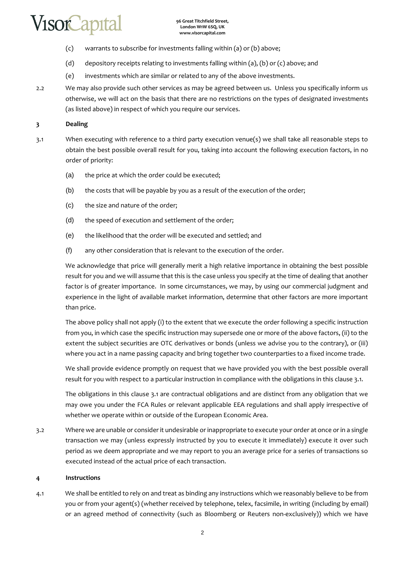- (c) warrants to subscribe for investments falling within (a) or (b) above;
- (d) depository receipts relating to investments falling within (a), (b) or (c) above; and
- (e) investments which are similar or related to any of the above investments.
- 2.2 We may also provide such other services as may be agreed between us. Unless you specifically inform us otherwise, we will act on the basis that there are no restrictions on the types of designated investments (as listed above) in respect of which you require our services.

# **3 Dealing**

- 3.1 When executing with reference to a third party execution venue(s) we shall take all reasonable steps to obtain the best possible overall result for you, taking into account the following execution factors, in no order of priority:
	- (a) the price at which the order could be executed;
	- (b) the costs that will be payable by you as a result of the execution of the order;
	- (c) the size and nature of the order;
	- (d) the speed of execution and settlement of the order;
	- (e) the likelihood that the order will be executed and settled; and
	- (f) any other consideration that is relevant to the execution of the order.

We acknowledge that price will generally merit a high relative importance in obtaining the best possible result for you and we will assume that this is the case unless you specify at the time of dealing that another factor is of greater importance. In some circumstances, we may, by using our commercial judgment and experience in the light of available market information, determine that other factors are more important than price.

The above policy shall not apply (i) to the extent that we execute the order following a specific instruction from you, in which case the specific instruction may supersede one or more of the above factors, (ii) to the extent the subject securities are OTC derivatives or bonds (unless we advise you to the contrary), or (iii) where you act in a name passing capacity and bring together two counterparties to a fixed income trade.

We shall provide evidence promptly on request that we have provided you with the best possible overall result for you with respect to a particular instruction in compliance with the obligations in this clause 3.1.

The obligations in this clause 3.1 are contractual obligations and are distinct from any obligation that we may owe you under the FСA Rules or relevant applicable EEA regulations and shall apply irrespective of whether we operate within or outside of the European Economic Area.

3.2 Where we are unable or consider it undesirable or inappropriate to execute your order at once or in a single transaction we may (unless expressly instructed by you to execute it immediately) execute it over such period as we deem appropriate and we may report to you an average price for a series of transactions so executed instead of the actual price of each transaction.

# **4 Instructions**

4.1 We shall be entitled to rely on and treat as binding any instructions which we reasonably believe to be from you or from your agent(s) (whether received by telephone, telex, facsimile, in writing (including by email) or an agreed method of connectivity (such as Bloomberg or Reuters non-exclusively)) which we have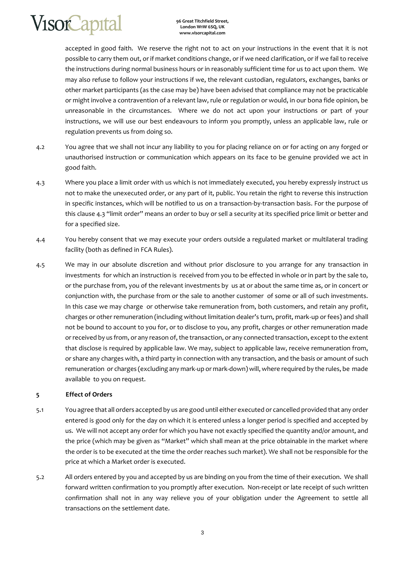**96 Great Titchfield Street, London W1W 6SQ, UK www.visorcapital.com**

accepted in good faith. We reserve the right not to act on your instructions in the event that it is not possible to carry them out, or if market conditions change, or if we need clarification, or if we fail to receive the instructions during normal business hours or in reasonably sufficient time for us to act upon them. We may also refuse to follow your instructions if we, the relevant custodian, regulators, exchanges, banks or other market participants (as the case may be) have been advised that compliance may not be practicable or might involve a contravention of a relevant law, rule or regulation or would, in our bona fide opinion, be unreasonable in the circumstances. Where we do not act upon your instructions or part of your instructions, we will use our best endeavours to inform you promptly, unless an applicable law, rule or regulation prevents us from doing so.

- 4.2 You agree that we shall not incur any liability to you for placing reliance on or for acting on any forged or unauthorised instruction or communication which appears on its face to be genuine provided we act in good faith.
- 4.3 Where you place a limit order with us which is not immediately executed, you hereby expressly instruct us not to make the unexecuted order, or any part of it, public. You retain the right to reverse this instruction in specific instances, which will be notified to us on a transaction-by-transaction basis. For the purpose of this clause 4.3 "limit order" means an order to buy or sell a security at its specified price limit or better and for a specified size.
- 4.4 You hereby consent that we may execute your orders outside a regulated market or multilateral trading facility (both as defined in FСA Rules).
- 4.5 We may in our absolute discretion and without prior disclosure to you arrange for any transaction in investments for which an instruction is received from you to be effected in whole or in part by the sale to, or the purchase from, you of the relevant investments by us at or about the same time as, or in concert or conjunction with, the purchase from or the sale to another customer of some or all of such investments. In this case we may charge or otherwise take remuneration from, both customers, and retain any profit, charges or other remuneration (including without limitation dealer's turn, profit, mark-up or fees) and shall not be bound to account to you for, or to disclose to you, any profit, charges or other remuneration made or received by us from, or any reason of, the transaction, or any connected transaction, except to the extent that disclose is required by applicable law. We may, subject to applicable law, receive remuneration from, or share any charges with, a third party in connection with any transaction, and the basis or amount of such remuneration or charges (excluding any mark-up or mark-down) will, where required by the rules, be made available to you on request.

# **5 Effect of Orders**

- 5.1 You agree that all orders accepted by us are good until either executed or cancelled provided that any order entered is good only for the day on which it is entered unless a longer period is specified and accepted by us. We will not accept any order for which you have not exactly specified the quantity and/or amount, and the price (which may be given as "Market" which shall mean at the price obtainable in the market where the order is to be executed at the time the order reaches such market). We shall not be responsible for the price at which a Market order is executed.
- 5.2 All orders entered by you and accepted by us are binding on you from the time of their execution. We shall forward written confirmation to you promptly after execution. Non-receipt or late receipt of such written confirmation shall not in any way relieve you of your obligation under the Agreement to settle all transactions on the settlement date.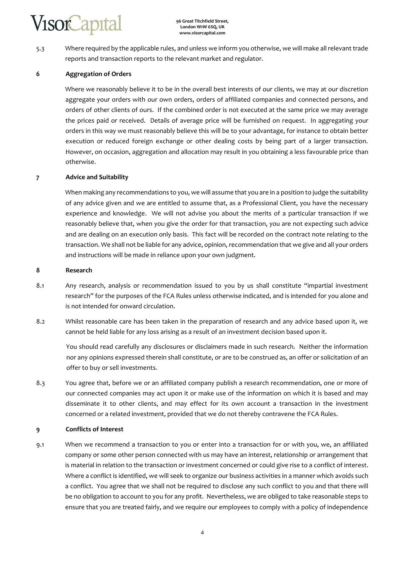5.3 Where required by the applicable rules, and unless we inform you otherwise, we will make all relevant trade reports and transaction reports to the relevant market and regulator.

# **6 Aggregation of Orders**

Where we reasonably believe it to be in the overall best interests of our clients, we may at our discretion aggregate your orders with our own orders, orders of affiliated companies and connected persons, and orders of other clients of ours. If the combined order is not executed at the same price we may average the prices paid or received. Details of average price will be furnished on request. In aggregating your orders in this way we must reasonably believe this will be to your advantage, for instance to obtain better execution or reduced foreign exchange or other dealing costs by being part of a larger transaction. However, on occasion, aggregation and allocation may result in you obtaining a less favourable price than otherwise.

### **7 Advice and Suitability**

When making any recommendations to you, we will assume that you are in a position to judge the suitability of any advice given and we are entitled to assume that, as a Professional Client, you have the necessary experience and knowledge. We will not advise you about the merits of a particular transaction if we reasonably believe that, when you give the order for that transaction, you are not expecting such advice and are dealing on an execution only basis. This fact will be recorded on the contract note relating to the transaction. We shall not be liable for any advice, opinion, recommendation that we give and all your orders and instructions will be made in reliance upon your own judgment.

### **8 Research**

- 8.1 Any research, analysis or recommendation issued to you by us shall constitute "impartial investment research" for the purposes of the FСA Rules unless otherwise indicated, and is intended for you alone and is not intended for onward circulation.
- 8.2 Whilst reasonable care has been taken in the preparation of research and any advice based upon it, we cannot be held liable for any loss arising as a result of an investment decision based upon it.

You should read carefully any disclosures or disclaimers made in such research. Neither the information nor any opinions expressed therein shall constitute, or are to be construed as, an offer or solicitation of an offer to buy or sell investments.

8.3 You agree that, before we or an affiliated company publish a research recommendation, one or more of our connected companies may act upon it or make use of the information on which it is based and may disseminate it to other clients, and may effect for its own account a transaction in the investment concerned or a related investment, provided that we do not thereby contravene the FСA Rules.

### **9 Conflicts of Interest**

9.1 When we recommend a transaction to you or enter into a transaction for or with you, we, an affiliated company or some other person connected with us may have an interest, relationship or arrangement that is material in relation to the transaction or investment concerned or could give rise to a conflict of interest. Where a conflict is identified, we will seek to organize our business activities in a manner which avoids such a conflict. You agree that we shall not be required to disclose any such conflict to you and that there will be no obligation to account to you for any profit. Nevertheless, we are obliged to take reasonable steps to ensure that you are treated fairly, and we require our employees to comply with a policy of independence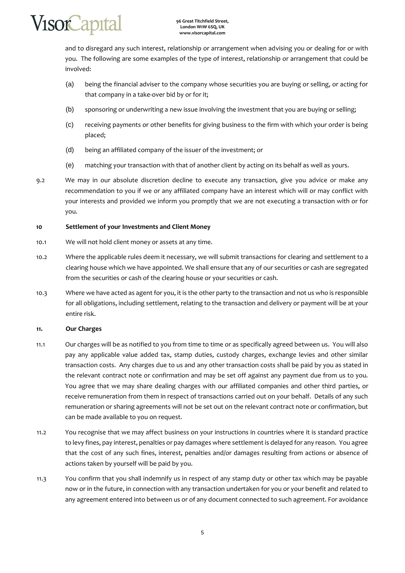

and to disregard any such interest, relationship or arrangement when advising you or dealing for or with you. The following are some examples of the type of interest, relationship or arrangement that could be involved:

- (a) being the financial adviser to the company whose securities you are buying or selling, or acting for that company in a take-over bid by or for it;
- (b) sponsoring or underwriting a new issue involving the investment that you are buying or selling;
- (c) receiving payments or other benefits for giving business to the firm with which your order is being placed;
- (d) being an affiliated company of the issuer of the investment; or
- (e) matching your transaction with that of another client by acting on its behalf as well as yours.
- 9.2 We may in our absolute discretion decline to execute any transaction, give you advice or make any recommendation to you if we or any affiliated company have an interest which will or may conflict with your interests and provided we inform you promptly that we are not executing a transaction with or for you.

### **10 Settlement of your Investments and Client Money**

- 10.1 We will not hold client money or assets at any time.
- 10.2 Where the applicable rules deem it necessary, we will submit transactions for clearing and settlement to a clearing house which we have appointed. We shall ensure that any of our securities or cash are segregated from the securities or cash of the clearing house or your securities or cash.
- 10.3 Where we have acted as agent for you, it is the other party to the transaction and not us who is responsible for all obligations, including settlement, relating to the transaction and delivery or payment will be at your entire risk.

# **11. Our Charges**

- 11.1 Our charges will be as notified to you from time to time or as specifically agreed between us. You will also pay any applicable value added tax, stamp duties, custody charges, exchange levies and other similar transaction costs. Any charges due to us and any other transaction costs shall be paid by you as stated in the relevant contract note or confirmation and may be set off against any payment due from us to you. You agree that we may share dealing charges with our affiliated companies and other third parties, or receive remuneration from them in respect of transactions carried out on your behalf. Details of any such remuneration or sharing agreements will not be set out on the relevant contract note or confirmation, but can be made available to you on request.
- 11.2 You recognise that we may affect business on your instructions in countries where it is standard practice to levy fines, pay interest, penalties or pay damages where settlement is delayed for any reason. You agree that the cost of any such fines, interest, penalties and/or damages resulting from actions or absence of actions taken by yourself will be paid by you.
- 11.3 You confirm that you shall indemnify us in respect of any stamp duty or other tax which may be payable now or in the future, in connection with any transaction undertaken for you or your benefit and related to any agreement entered into between us or of any document connected to such agreement. For avoidance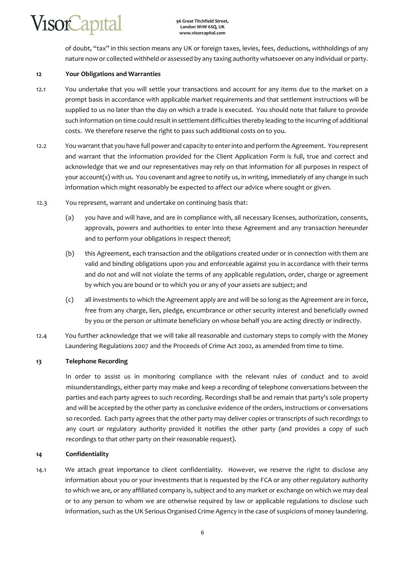

of doubt, "tax" in this section means any UK or foreign taxes, levies, fees, deductions, withholdings of any nature now or collected withheld or assessed by any taxing authority whatsoever on any individual or party.

### **12 Your Obligations and Warranties**

- 12.1 You undertake that you will settle your transactions and account for any items due to the market on a prompt basis in accordance with applicable market requirements and that settlement instructions will be supplied to us no later than the day on which a trade is executed. You should note that failure to provide such information on time could result in settlement difficulties thereby leading to the incurring of additional costs. We therefore reserve the right to pass such additional costs on to you.
- 12.2 You warrant that you have full power and capacity to enter into and perform the Agreement. You represent and warrant that the information provided for the Client Application Form is full, true and correct and acknowledge that we and our representatives may rely on that information for all purposes in respect of your account(s) with us. You covenant and agree to notify us, in writing, immediately of any change in such information which might reasonably be expected to affect our advice where sought or given.
- 12.3 You represent, warrant and undertake on continuing basis that:
	- (a) you have and will have, and are in compliance with, all necessary licenses, authorization, consents, approvals, powers and authorities to enter into these Agreement and any transaction hereunder and to perform your obligations in respect thereof;
	- (b) this Agreement, each transaction and the obligations created under or in connection with them are valid and binding obligations upon you and enforceable against you in accordance with their terms and do not and will not violate the terms of any applicable regulation, order, charge or agreement by which you are bound or to which you or any of your assets are subject; and
	- (c) all investments to which the Agreement apply are and will be so long as the Agreement are in force, free from any charge, lien, pledge, encumbrance or other security interest and beneficially owned by you or the person or ultimate beneficiary on whose behalf you are acting directly or indirectly.
- 12.4 You further acknowledge that we will take all reasonable and customary steps to comply with the Money Laundering Regulations 2007 and the Proceeds of Crime Act 2002, as amended from time to time.

# **13 Telephone Recording**

In order to assist us in monitoring compliance with the relevant rules of conduct and to avoid misunderstandings, either party may make and keep a recording of telephone conversations between the parties and each party agrees to such recording. Recordings shall be and remain that party's sole property and will be accepted by the other party as conclusive evidence of the orders, instructions or conversations so recorded. Each party agrees that the other party may deliver copies or transcripts of such recordings to any court or regulatory authority provided it notifies the other party (and provides a copy of such recordings to that other party on their reasonable request).

# **14 Confidentiality**

14.1 We attach great importance to client confidentiality. However, we reserve the right to disclose any information about you or your investments that is requested by the FСA or any other regulatory authority to which we are, or any affiliated company is, subject and to any market or exchange on which we may deal or to any person to whom we are otherwise required by law or applicable regulations to disclose such information, such as the UK Serious Organised Crime Agency in the case of suspicions of money laundering.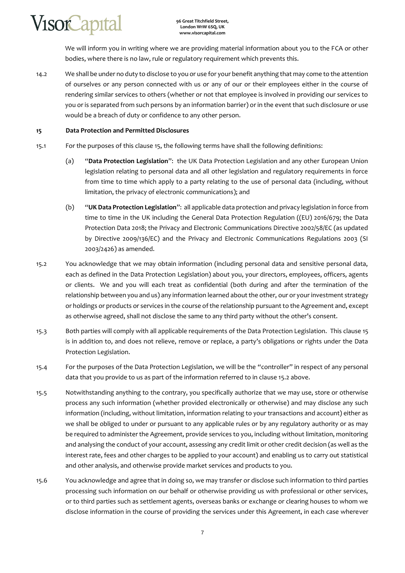We will inform you in writing where we are providing material information about you to the FСA or other bodies, where there is no law, rule or regulatory requirement which prevents this.

14.2 We shall be under no duty to disclose to you or use for your benefit anything that may come to the attention of ourselves or any person connected with us or any of our or their employees either in the course of rendering similar services to others (whether or not that employee is involved in providing our services to you or is separated from such persons by an information barrier) or in the event that such disclosure or use would be a breach of duty or confidence to any other person.

# **15 Data Protection and Permitted Disclosures**

- 15.1 For the purposes of this clause 15, the following terms have shall the following definitions:
	- (a) "**Data Protection Legislation**": the UK Data Protection Legislation and any other European Union legislation relating to personal data and all other legislation and regulatory requirements in force from time to time which apply to a party relating to the use of personal data (including, without limitation, the privacy of electronic communications); and
	- (b) "**UK Data Protection Legislation**": all applicable data protection and privacy legislation in force from time to time in the UK including the General Data Protection Regulation ((EU) 2016/679; the Data Protection Data 2018; the Privacy and Electronic Communications Directive 2002/58/EC (as updated by Directive 2009/136/EC) and the Privacy and Electronic Communications Regulations 2003 (SI 2003/2426) as amended.
- 15.2 You acknowledge that we may obtain information (including personal data and sensitive personal data, each as defined in the Data Protection Legislation) about you, your directors, employees, officers, agents or clients. We and you will each treat as confidential (both during and after the termination of the relationship between you and us) any information learned about the other, our or your investment strategy or holdings or products or services in the course of the relationship pursuant to the Agreement and, except as otherwise agreed, shall not disclose the same to any third party without the other's consent.
- 15.3 Both parties will comply with all applicable requirements of the Data Protection Legislation. This clause 15 is in addition to, and does not relieve, remove or replace, a party's obligations or rights under the Data Protection Legislation.
- 15.4 For the purposes of the Data Protection Legislation, we will be the "controller" in respect of any personal data that you provide to us as part of the information referred to in clause 15.2 above.
- 15.5 Notwithstanding anything to the contrary, you specifically authorize that we may use, store or otherwise process any such information (whether provided electronically or otherwise) and may disclose any such information (including, without limitation, information relating to your transactions and account) either as we shall be obliged to under or pursuant to any applicable rules or by any regulatory authority or as may be required to administer the Agreement, provide services to you, including without limitation, monitoring and analysing the conduct of your account, assessing any credit limit or other credit decision (as well as the interest rate, fees and other charges to be applied to your account) and enabling us to carry out statistical and other analysis, and otherwise provide market services and products to you.
- 15.6 You acknowledge and agree that in doing so, we may transfer or disclose such information to third parties processing such information on our behalf or otherwise providing us with professional or other services, or to third parties such as settlement agents, overseas banks or exchange or clearing houses to whom we disclose information in the course of providing the services under this Agreement, in each case wherever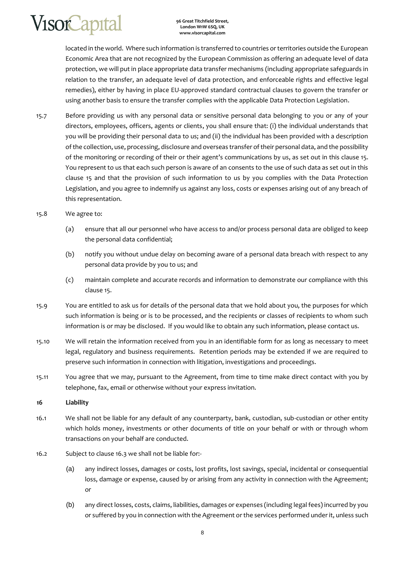**96 Great Titchfield Street, London W1W 6SQ, UK www.visorcapital.com**

located in the world. Where such information is transferred to countries or territories outside the European Economic Area that are not recognized by the European Commission as offering an adequate level of data protection, we will put in place appropriate data transfer mechanisms (including appropriate safeguards in relation to the transfer, an adequate level of data protection, and enforceable rights and effective legal remedies), either by having in place EU-approved standard contractual clauses to govern the transfer or using another basis to ensure the transfer complies with the applicable Data Protection Legislation.

15.7 Before providing us with any personal data or sensitive personal data belonging to you or any of your directors, employees, officers, agents or clients, you shall ensure that: (i) the individual understands that you will be providing their personal data to us; and (ii) the individual has been provided with a description of the collection, use, processing, disclosure and overseas transfer of their personal data, and the possibility of the monitoring or recording of their or their agent's communications by us, as set out in this clause 15. You represent to us that each such person is aware of an consents to the use of such data as set out in this clause 15 and that the provision of such information to us by you complies with the Data Protection Legislation, and you agree to indemnify us against any loss, costs or expenses arising out of any breach of this representation.

### 15.8 We agree to:

- (a) ensure that all our personnel who have access to and/or process personal data are obliged to keep the personal data confidential;
- (b) notify you without undue delay on becoming aware of a personal data breach with respect to any personal data provide by you to us; and
- (c) maintain complete and accurate records and information to demonstrate our compliance with this clause 15.
- 15.9 You are entitled to ask us for details of the personal data that we hold about you, the purposes for which such information is being or is to be processed, and the recipients or classes of recipients to whom such information is or may be disclosed. If you would like to obtain any such information, please contact us.
- 15.10 We will retain the information received from you in an identifiable form for as long as necessary to meet legal, regulatory and business requirements. Retention periods may be extended if we are required to preserve such information in connection with litigation, investigations and proceedings.
- 15.11 You agree that we may, pursuant to the Agreement, from time to time make direct contact with you by telephone, fax, email or otherwise without your express invitation.

### **16 Liability**

- 16.1 We shall not be liable for any default of any counterparty, bank, custodian, sub-custodian or other entity which holds money, investments or other documents of title on your behalf or with or through whom transactions on your behalf are conducted.
- 16.2 Subject to clause 16.3 we shall not be liable for:-
	- (a) any indirect losses, damages or costs, lost profits, lost savings, special, incidental or consequential loss, damage or expense, caused by or arising from any activity in connection with the Agreement; or
	- (b) any direct losses, costs, claims, liabilities, damages or expenses (including legal fees) incurred by you or suffered by you in connection with the Agreement or the services performed under it, unless such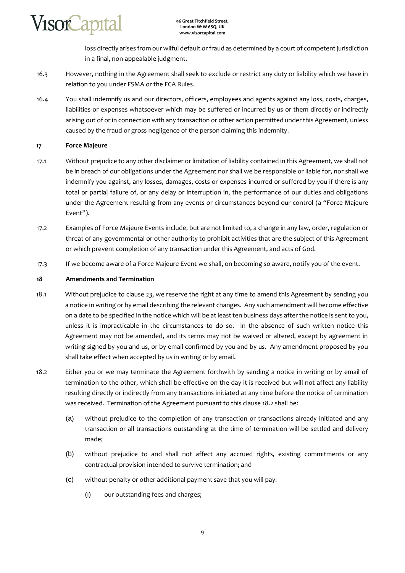**VisorCapital** 

loss directly arises from our wilful default or fraud as determined by a court of competent jurisdiction in a final, non-appealable judgment.

- 16.3 However, nothing in the Agreement shall seek to exclude or restrict any duty or liability which we have in relation to you under FSMA or the FCA Rules.
- 16.4 You shall indemnify us and our directors, officers, employees and agents against any loss, costs, charges, liabilities or expenses whatsoever which may be suffered or incurred by us or them directly or indirectly arising out of or in connection with any transaction or other action permitted under this Agreement, unless caused by the fraud or gross negligence of the person claiming this indemnity.

### **17 Force Majeure**

- 17.1 Without prejudice to any other disclaimer or limitation of liability contained in this Agreement, we shall not be in breach of our obligations under the Agreement nor shall we be responsible or liable for, nor shall we indemnify you against, any losses, damages, costs or expenses incurred or suffered by you if there is any total or partial failure of, or any delay or interruption in, the performance of our duties and obligations under the Agreement resulting from any events or circumstances beyond our control (a "Force Majeure Event").
- 17.2 Examples of Force Majeure Events include, but are not limited to, a change in any law, order, regulation or threat of any governmental or other authority to prohibit activities that are the subject of this Agreement or which prevent completion of any transaction under this Agreement, and acts of God.
- 17.3 If we become aware of a Force Majeure Event we shall, on becoming so aware, notify you of the event.

### **18 Amendments and Termination**

- 18.1 Without prejudice to clause 23, we reserve the right at any time to amend this Agreement by sending you a notice in writing or by email describing the relevant changes. Any such amendment will become effective on a date to be specified in the notice which will be at least ten business days after the notice is sent to you, unless it is impracticable in the circumstances to do so. In the absence of such written notice this Agreement may not be amended, and its terms may not be waived or altered, except by agreement in writing signed by you and us, or by email confirmed by you and by us. Any amendment proposed by you shall take effect when accepted by us in writing or by email.
- 18.2 Either you or we may terminate the Agreement forthwith by sending a notice in writing or by email of termination to the other, which shall be effective on the day it is received but will not affect any liability resulting directly or indirectly from any transactions initiated at any time before the notice of termination was received. Termination of the Agreement pursuant to this clause 18.2 shall be:
	- (a) without prejudice to the completion of any transaction or transactions already initiated and any transaction or all transactions outstanding at the time of termination will be settled and delivery made;
	- (b) without prejudice to and shall not affect any accrued rights, existing commitments or any contractual provision intended to survive termination; and
	- (c) without penalty or other additional payment save that you will pay:
		- (i) our outstanding fees and charges;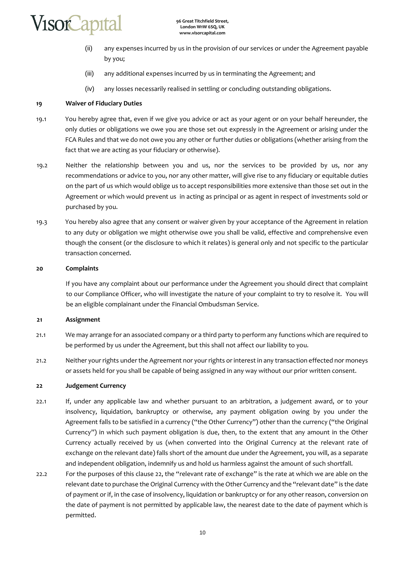

- (ii) any expenses incurred by us in the provision of our services or under the Agreement payable by you;
- (iii) any additional expenses incurred by us in terminating the Agreement; and
- (iv) any losses necessarily realised in settling or concluding outstanding obligations.

### **19 Waiver of Fiduciary Duties**

- 19.1 You hereby agree that, even if we give you advice or act as your agent or on your behalf hereunder, the only duties or obligations we owe you are those set out expressly in the Agreement or arising under the FCA Rules and that we do not owe you any other or further duties or obligations (whether arising from the fact that we are acting as your fiduciary or otherwise).
- 19.2 Neither the relationship between you and us, nor the services to be provided by us, nor any recommendations or advice to you, nor any other matter, will give rise to any fiduciary or equitable duties on the part of us which would oblige us to accept responsibilities more extensive than those set out in the Agreement or which would prevent us in acting as principal or as agent in respect of investments sold or purchased by you.
- 19.3 You hereby also agree that any consent or waiver given by your acceptance of the Agreement in relation to any duty or obligation we might otherwise owe you shall be valid, effective and comprehensive even though the consent (or the disclosure to which it relates) is general only and not specific to the particular transaction concerned.

### **20 Complaints**

If you have any complaint about our performance under the Agreement you should direct that complaint to our Compliance Officer, who will investigate the nature of your complaint to try to resolve it. You will be an eligible complainant under the Financial Ombudsman Service.

### **21 Assignment**

- 21.1 We may arrange for an associated company or a third party to perform any functions which are required to be performed by us under the Agreement, but this shall not affect our liability to you.
- 21.2 Neither your rights under the Agreement nor your rights or interest in any transaction effected nor moneys or assets held for you shall be capable of being assigned in any way without our prior written consent.

### **22 Judgement Currency**

- 22.1 If, under any applicable law and whether pursuant to an arbitration, a judgement award, or to your insolvency, liquidation, bankruptcy or otherwise, any payment obligation owing by you under the Agreement falls to be satisfied in a currency ("the Other Currency") other than the currency ("the Original Currency") in which such payment obligation is due, then, to the extent that any amount in the Other Currency actually received by us (when converted into the Original Currency at the relevant rate of exchange on the relevant date) falls short of the amount due under the Agreement, you will, as a separate and independent obligation, indemnify us and hold us harmless against the amount of such shortfall.
- 22.2 For the purposes of this clause 22, the "relevant rate of exchange" is the rate at which we are able on the relevant date to purchase the Original Currency with the Other Currency and the "relevant date" is the date of payment or if, in the case of insolvency, liquidation or bankruptcy or for any other reason, conversion on the date of payment is not permitted by applicable law, the nearest date to the date of payment which is permitted.